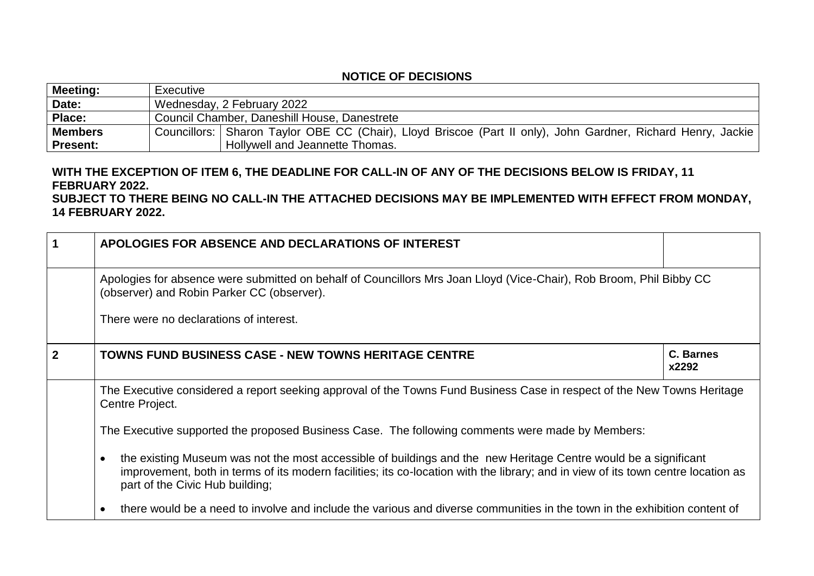## **NOTICE OF DECISIONS**

| Meeting:       | Executive                                                                                                    |  |
|----------------|--------------------------------------------------------------------------------------------------------------|--|
| Date:          | Wednesday, 2 February 2022                                                                                   |  |
| Place:         | Council Chamber, Daneshill House, Danestrete                                                                 |  |
| <b>Members</b> | Councillors: Sharon Taylor OBE CC (Chair), Lloyd Briscoe (Part II only), John Gardner, Richard Henry, Jackie |  |
| Present:       | Hollywell and Jeannette Thomas.                                                                              |  |

## **WITH THE EXCEPTION OF ITEM 6, THE DEADLINE FOR CALL-IN OF ANY OF THE DECISIONS BELOW IS FRIDAY, 11 FEBRUARY 2022.**

## **SUBJECT TO THERE BEING NO CALL-IN THE ATTACHED DECISIONS MAY BE IMPLEMENTED WITH EFFECT FROM MONDAY, 14 FEBRUARY 2022.**

| 1              | APOLOGIES FOR ABSENCE AND DECLARATIONS OF INTEREST                                                                                                                                                                                                                                                   |                           |  |
|----------------|------------------------------------------------------------------------------------------------------------------------------------------------------------------------------------------------------------------------------------------------------------------------------------------------------|---------------------------|--|
|                | Apologies for absence were submitted on behalf of Councillors Mrs Joan Lloyd (Vice-Chair), Rob Broom, Phil Bibby CC<br>(observer) and Robin Parker CC (observer).                                                                                                                                    |                           |  |
|                | There were no declarations of interest.                                                                                                                                                                                                                                                              |                           |  |
| $\overline{2}$ | <b>TOWNS FUND BUSINESS CASE - NEW TOWNS HERITAGE CENTRE</b>                                                                                                                                                                                                                                          | <b>C. Barnes</b><br>x2292 |  |
|                | The Executive considered a report seeking approval of the Towns Fund Business Case in respect of the New Towns Heritage<br>Centre Project.                                                                                                                                                           |                           |  |
|                | The Executive supported the proposed Business Case. The following comments were made by Members:                                                                                                                                                                                                     |                           |  |
|                | the existing Museum was not the most accessible of buildings and the new Heritage Centre would be a significant<br>$\bullet$<br>improvement, both in terms of its modern facilities; its co-location with the library; and in view of its town centre location as<br>part of the Civic Hub building; |                           |  |
|                | there would be a need to involve and include the various and diverse communities in the town in the exhibition content of                                                                                                                                                                            |                           |  |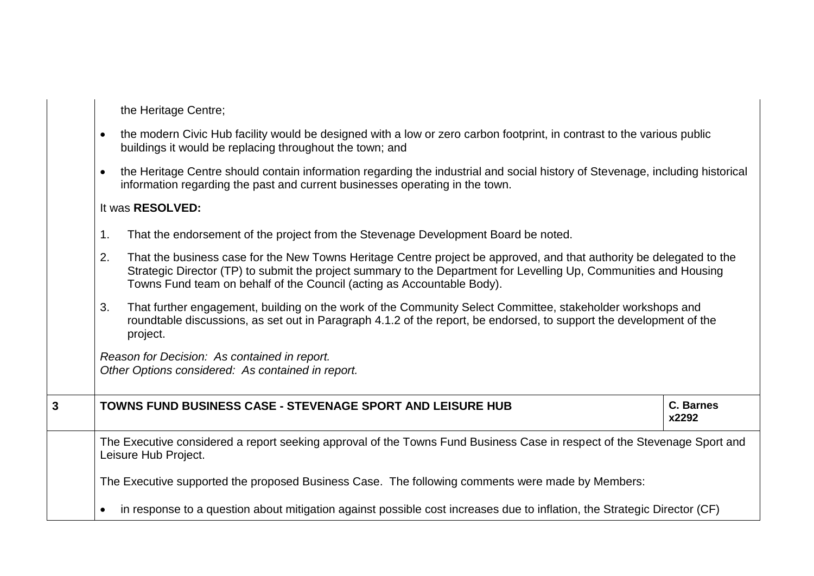the Heritage Centre;

- the modern Civic Hub facility would be designed with a low or zero carbon footprint, in contrast to the various public buildings it would be replacing throughout the town; and
- the Heritage Centre should contain information regarding the industrial and social history of Stevenage, including historical information regarding the past and current businesses operating in the town.

## It was **RESOLVED:**

- 1. That the endorsement of the project from the Stevenage Development Board be noted.
- 2. That the business case for the New Towns Heritage Centre project be approved, and that authority be delegated to the Strategic Director (TP) to submit the project summary to the Department for Levelling Up, Communities and Housing Towns Fund team on behalf of the Council (acting as Accountable Body).
- 3. That further engagement, building on the work of the Community Select Committee, stakeholder workshops and roundtable discussions, as set out in Paragraph 4.1.2 of the report, be endorsed, to support the development of the project.

*Reason for Decision: As contained in report. Other Options considered: As contained in report.*

**3 TOWNS FUND BUSINESS CASE - STEVENAGE SPORT AND LEISURE HUB C. Barnes**

**x2292**

The Executive considered a report seeking approval of the Towns Fund Business Case in respect of the Stevenage Sport and Leisure Hub Project.

The Executive supported the proposed Business Case. The following comments were made by Members:

in response to a question about mitigation against possible cost increases due to inflation, the Strategic Director (CF)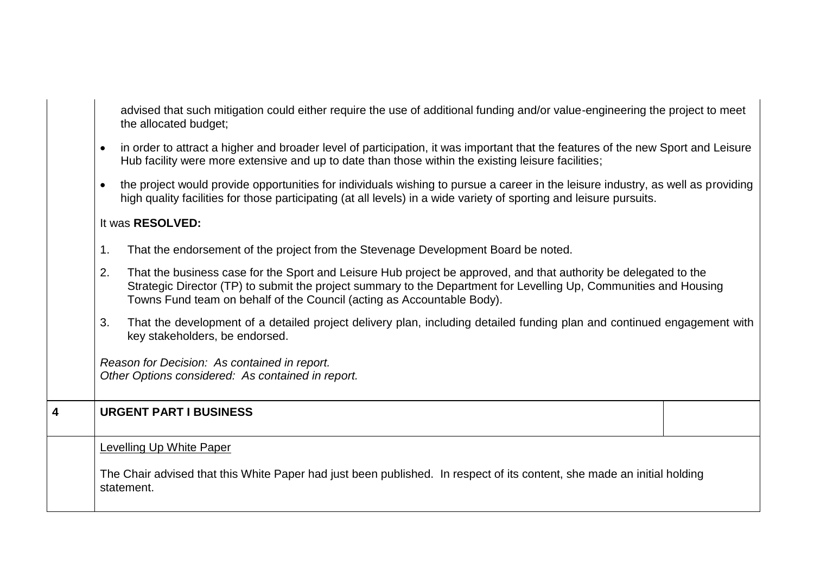|   | <b>Levelling Up White Paper</b><br>The Chair advised that this White Paper had just been published. In respect of its content, she made an initial holding<br>statement.                                                                                                                                        |  |  |
|---|-----------------------------------------------------------------------------------------------------------------------------------------------------------------------------------------------------------------------------------------------------------------------------------------------------------------|--|--|
| 4 | <b>URGENT PART I BUSINESS</b>                                                                                                                                                                                                                                                                                   |  |  |
|   |                                                                                                                                                                                                                                                                                                                 |  |  |
|   | Reason for Decision: As contained in report.<br>Other Options considered: As contained in report.                                                                                                                                                                                                               |  |  |
|   | That the development of a detailed project delivery plan, including detailed funding plan and continued engagement with<br>3.<br>key stakeholders, be endorsed.                                                                                                                                                 |  |  |
|   | That the business case for the Sport and Leisure Hub project be approved, and that authority be delegated to the<br>Strategic Director (TP) to submit the project summary to the Department for Levelling Up, Communities and Housing<br>Towns Fund team on behalf of the Council (acting as Accountable Body). |  |  |
|   | That the endorsement of the project from the Stevenage Development Board be noted.<br>1.                                                                                                                                                                                                                        |  |  |
|   | It was RESOLVED:                                                                                                                                                                                                                                                                                                |  |  |
|   | the project would provide opportunities for individuals wishing to pursue a career in the leisure industry, as well as providing<br>high quality facilities for those participating (at all levels) in a wide variety of sporting and leisure pursuits.                                                         |  |  |
|   | in order to attract a higher and broader level of participation, it was important that the features of the new Sport and Leisure<br>Hub facility were more extensive and up to date than those within the existing leisure facilities;                                                                          |  |  |
|   | advised that such mitigation could either require the use of additional funding and/or value-engineering the project to meet<br>the allocated budget;                                                                                                                                                           |  |  |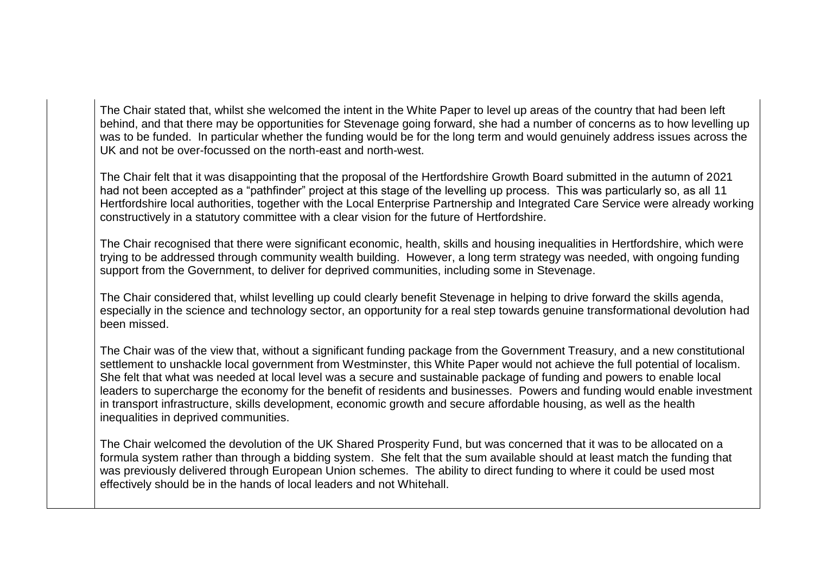The Chair stated that, whilst she welcomed the intent in the White Paper to level up areas of the country that had been left behind, and that there may be opportunities for Stevenage going forward, she had a number of concerns as to how levelling up was to be funded. In particular whether the funding would be for the long term and would genuinely address issues across the UK and not be over-focussed on the north-east and north-west.

The Chair felt that it was disappointing that the proposal of the Hertfordshire Growth Board submitted in the autumn of 2021 had not been accepted as a "pathfinder" project at this stage of the levelling up process. This was particularly so, as all 11 Hertfordshire local authorities, together with the Local Enterprise Partnership and Integrated Care Service were already working constructively in a statutory committee with a clear vision for the future of Hertfordshire.

The Chair recognised that there were significant economic, health, skills and housing inequalities in Hertfordshire, which were trying to be addressed through community wealth building. However, a long term strategy was needed, with ongoing funding support from the Government, to deliver for deprived communities, including some in Stevenage.

The Chair considered that, whilst levelling up could clearly benefit Stevenage in helping to drive forward the skills agenda, especially in the science and technology sector, an opportunity for a real step towards genuine transformational devolution had been missed.

The Chair was of the view that, without a significant funding package from the Government Treasury, and a new constitutional settlement to unshackle local government from Westminster, this White Paper would not achieve the full potential of localism. She felt that what was needed at local level was a secure and sustainable package of funding and powers to enable local leaders to supercharge the economy for the benefit of residents and businesses. Powers and funding would enable investment in transport infrastructure, skills development, economic growth and secure affordable housing, as well as the health inequalities in deprived communities.

The Chair welcomed the devolution of the UK Shared Prosperity Fund, but was concerned that it was to be allocated on a formula system rather than through a bidding system. She felt that the sum available should at least match the funding that was previously delivered through European Union schemes. The ability to direct funding to where it could be used most effectively should be in the hands of local leaders and not Whitehall.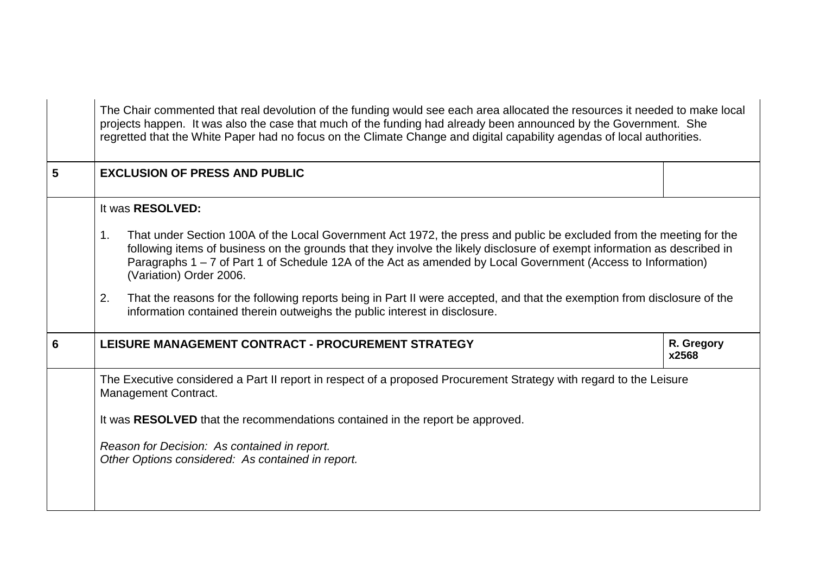|   | The Chair commented that real devolution of the funding would see each area allocated the resources it needed to make local<br>projects happen. It was also the case that much of the funding had already been announced by the Government. She<br>regretted that the White Paper had no focus on the Climate Change and digital capability agendas of local authorities.                                                        |                     |  |
|---|----------------------------------------------------------------------------------------------------------------------------------------------------------------------------------------------------------------------------------------------------------------------------------------------------------------------------------------------------------------------------------------------------------------------------------|---------------------|--|
| 5 | <b>EXCLUSION OF PRESS AND PUBLIC</b>                                                                                                                                                                                                                                                                                                                                                                                             |                     |  |
|   | It was RESOLVED:<br>That under Section 100A of the Local Government Act 1972, the press and public be excluded from the meeting for the<br>1 <sub>1</sub><br>following items of business on the grounds that they involve the likely disclosure of exempt information as described in<br>Paragraphs 1 – 7 of Part 1 of Schedule 12A of the Act as amended by Local Government (Access to Information)<br>(Variation) Order 2006. |                     |  |
|   | 2.<br>That the reasons for the following reports being in Part II were accepted, and that the exemption from disclosure of the<br>information contained therein outweighs the public interest in disclosure.                                                                                                                                                                                                                     |                     |  |
| 6 | LEISURE MANAGEMENT CONTRACT - PROCUREMENT STRATEGY                                                                                                                                                                                                                                                                                                                                                                               | R. Gregory<br>x2568 |  |
|   | The Executive considered a Part II report in respect of a proposed Procurement Strategy with regard to the Leisure<br>Management Contract.                                                                                                                                                                                                                                                                                       |                     |  |
|   | It was RESOLVED that the recommendations contained in the report be approved.<br>Reason for Decision: As contained in report.<br>Other Options considered: As contained in report.                                                                                                                                                                                                                                               |                     |  |